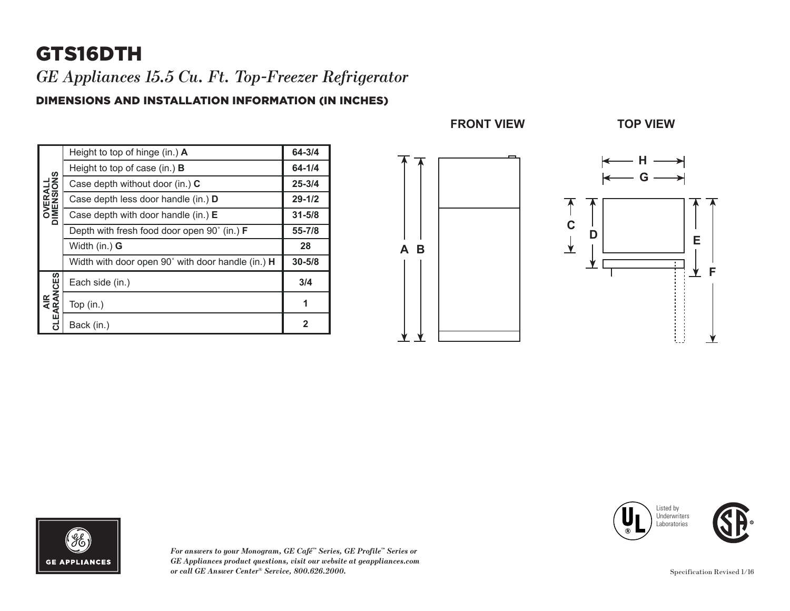# GTS16DTH

*GE Appliances 15.5 Cu. Ft. Top-Freezer Refrigerator* 

#### DIMENSIONS AND INSTALLATION INFORMATION (IN INCHES)

| <b>OVERALL</b><br>DIMENSIONS | Height to top of hinge (in.) A                     | 64-3/4     |
|------------------------------|----------------------------------------------------|------------|
|                              | Height to top of case (in.) $\bf{B}$               | 64-1/4     |
|                              | Case depth without door (in.) C                    | $25 - 3/4$ |
|                              | Case depth less door handle (in.) D                | $29 - 1/2$ |
|                              | Case depth with door handle (in.) $E$              | $31 - 5/8$ |
|                              | Depth with fresh food door open 90° (in.) <b>F</b> | $55 - 7/8$ |
|                              | Width (in.) <b>G</b>                               | 28         |
|                              | Width with door open 90° with door handle (in.) H  | $30 - 5/8$ |
| AIR<br>CLEARANCES            | Each side (in.)                                    | 3/4        |
|                              | Top (in.)                                          | 1          |
|                              | Back (in.)                                         | 2          |





*For answers to your Monogram, GE Café™ Series, GE Profile™ Series or GE Appliances product questions, visit our website at geappliances.com or call GE Answer Center® Service, 800.626.2000.* Specification Revised 1/16